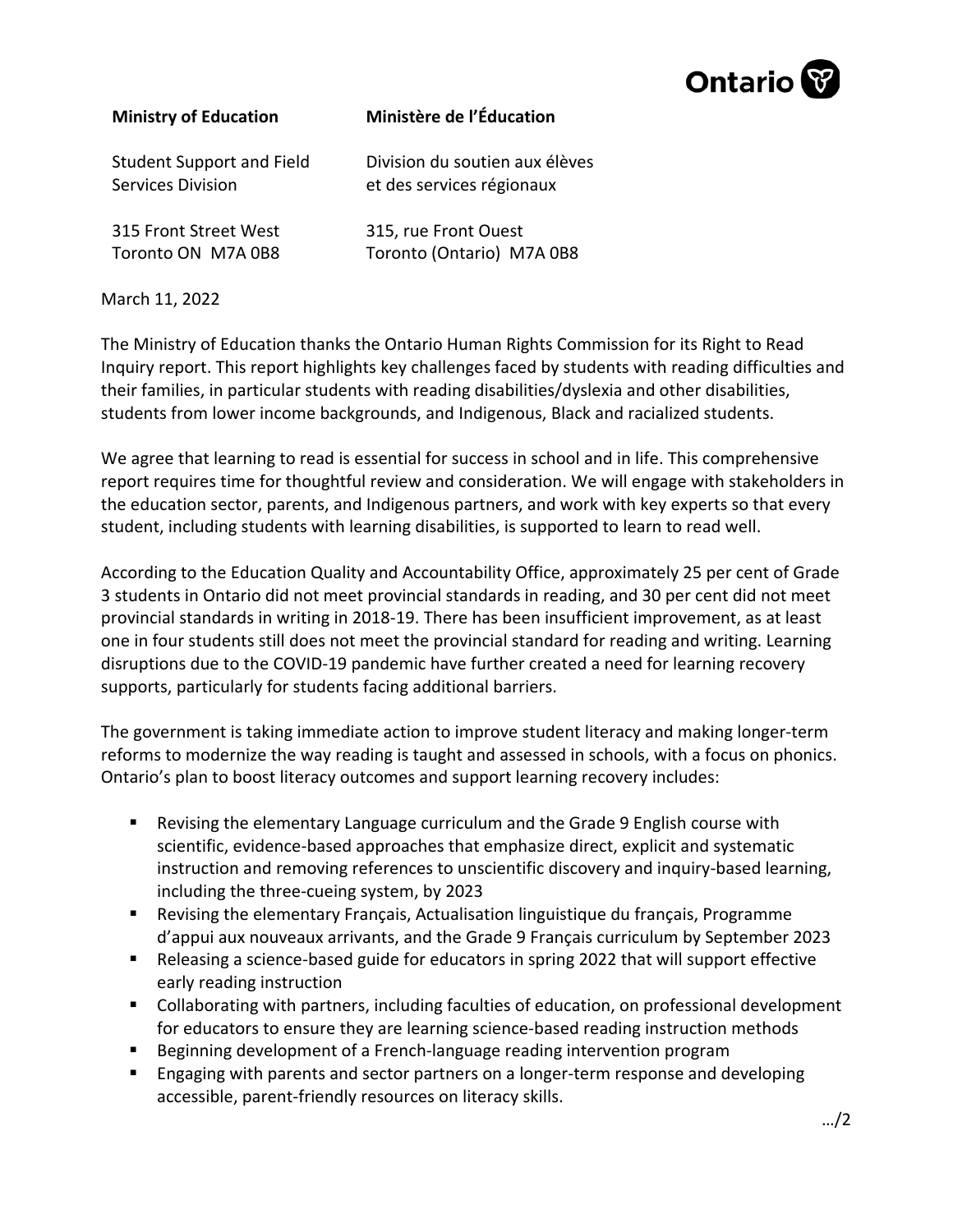

**Ministry of Education**

**Ministère de l'Éducation**

Student Support and Field Services Division

Division du soutien aux élèves et des services régionaux

315 Front Street West Toronto ON M7A 0B8

315, rue Front Ouest Toronto (Ontario) M7A 0B8

March 11, 2022

The Ministry of Education thanks the Ontario Human Rights Commission for its Right to Read Inquiry report. This report highlights key challenges faced by students with reading difficulties and their families, in particular students with reading disabilities/dyslexia and other disabilities, students from lower income backgrounds, and Indigenous, Black and racialized students.

We agree that learning to read is essential for success in school and in life. This comprehensive report requires time for thoughtful review and consideration. We will engage with stakeholders in the education sector, parents, and Indigenous partners, and work with key experts so that every student, including students with learning disabilities, is supported to learn to read well.

According to the Education Quality and Accountability Office, approximately 25 per cent of Grade 3 students in Ontario did not meet provincial standards in reading, and 30 per cent did not meet provincial standards in writing in 2018-19. There has been insufficient improvement, as at least one in four students still does not meet the provincial standard for reading and writing. Learning disruptions due to the COVID-19 pandemic have further created a need for learning recovery supports, particularly for students facing additional barriers.

The government is taking immediate action to improve student literacy and making longer-term reforms to modernize the way reading is taught and assessed in schools, with a focus on phonics. Ontario's plan to boost literacy outcomes and support learning recovery includes:

- Revising the elementary Language curriculum and the Grade 9 English course with scientific, evidence-based approaches that emphasize direct, explicit and systematic instruction and removing references to unscientific discovery and inquiry-based learning, including the three-cueing system, by 2023
- Revising the elementary Français, Actualisation linguistique du français, Programme d'appui aux nouveaux arrivants, and the Grade 9 Français curriculum by September 2023
- Releasing a science-based guide for educators in spring 2022 that will support effective early reading instruction
- Collaborating with partners, including faculties of education, on professional development for educators to ensure they are learning science-based reading instruction methods
- Beginning development of a French-language reading intervention program
- **Engaging with parents and sector partners on a longer-term response and developing** accessible, parent-friendly resources on literacy skills.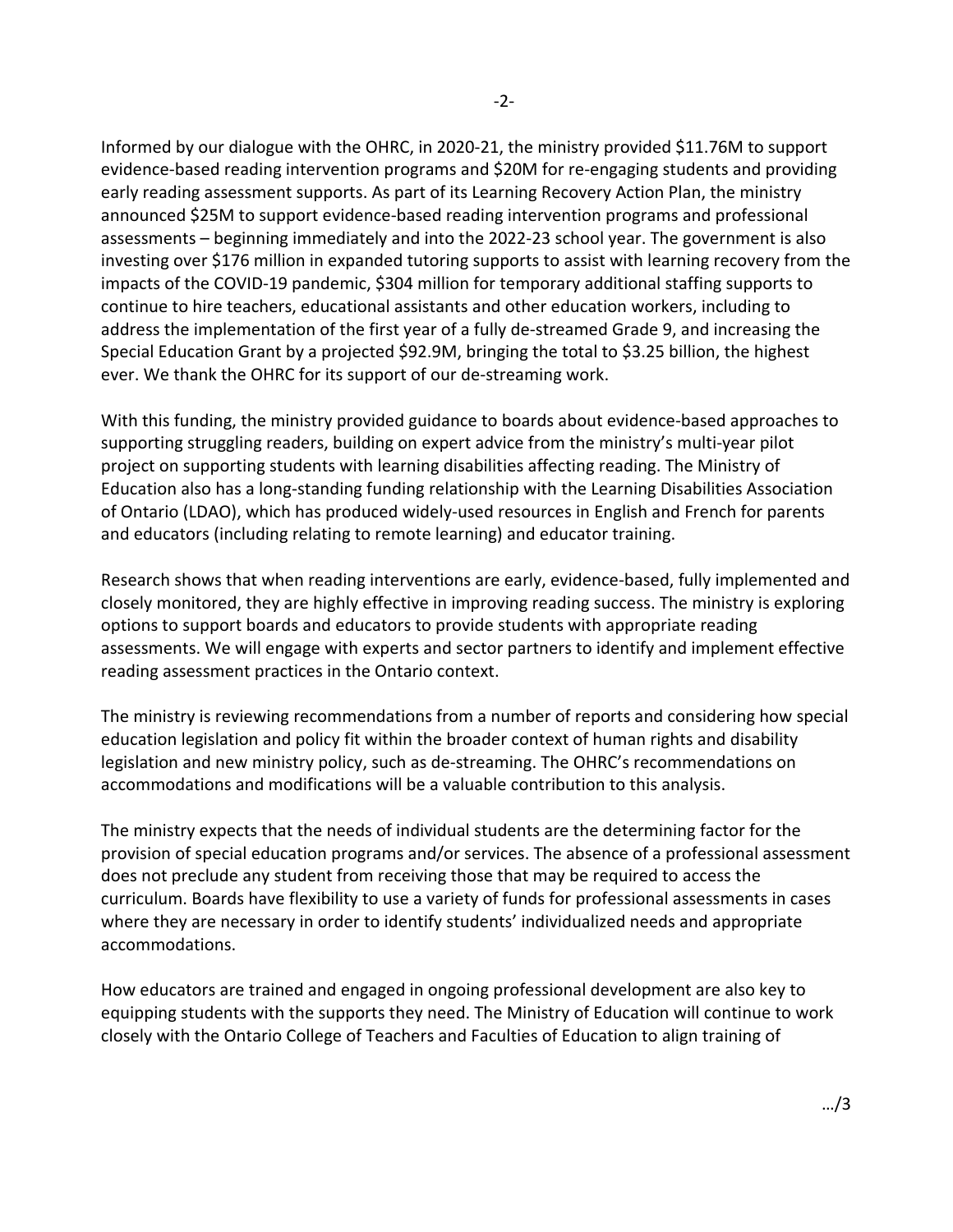Informed by our dialogue with the OHRC, in 2020-21, the ministry provided \$11.76M to support evidence-based reading intervention programs and \$20M for re-engaging students and providing early reading assessment supports. As part of its Learning Recovery Action Plan, the ministry announced \$25M to support evidence-based reading intervention programs and professional assessments – beginning immediately and into the 2022-23 school year. The government is also investing over \$176 million in expanded tutoring supports to assist with learning recovery from the impacts of the COVID-19 pandemic, \$304 million for temporary additional staffing supports to continue to hire teachers, educational assistants and other education workers, including to address the implementation of the first year of a fully de-streamed Grade 9, and increasing the Special Education Grant by a projected \$92.9M, bringing the total to \$3.25 billion, the highest ever. We thank the OHRC for its support of our de-streaming work.

With this funding, the ministry provided guidance to boards about evidence-based approaches to supporting struggling readers, building on expert advice from the ministry's multi-year pilot project on supporting students with learning disabilities affecting reading. The Ministry of Education also has a long-standing funding relationship with the Learning Disabilities Association of Ontario (LDAO), which has produced widely-used resources in English and French for parents and educators (including relating to remote learning) and educator training.

Research shows that when reading interventions are early, evidence-based, fully implemented and closely monitored, they are highly effective in improving reading success. The ministry is exploring options to support boards and educators to provide students with appropriate reading assessments. We will engage with experts and sector partners to identify and implement effective reading assessment practices in the Ontario context.

The ministry is reviewing recommendations from a number of reports and considering how special education legislation and policy fit within the broader context of human rights and disability legislation and new ministry policy, such as de-streaming. The OHRC's recommendations on accommodations and modifications will be a valuable contribution to this analysis.

The ministry expects that the needs of individual students are the determining factor for the provision of special education programs and/or services. The absence of a professional assessment does not preclude any student from receiving those that may be required to access the curriculum. Boards have flexibility to use a variety of funds for professional assessments in cases where they are necessary in order to identify students' individualized needs and appropriate accommodations.

How educators are trained and engaged in ongoing professional development are also key to equipping students with the supports they need. The Ministry of Education will continue to work closely with the Ontario College of Teachers and Faculties of Education to align training of